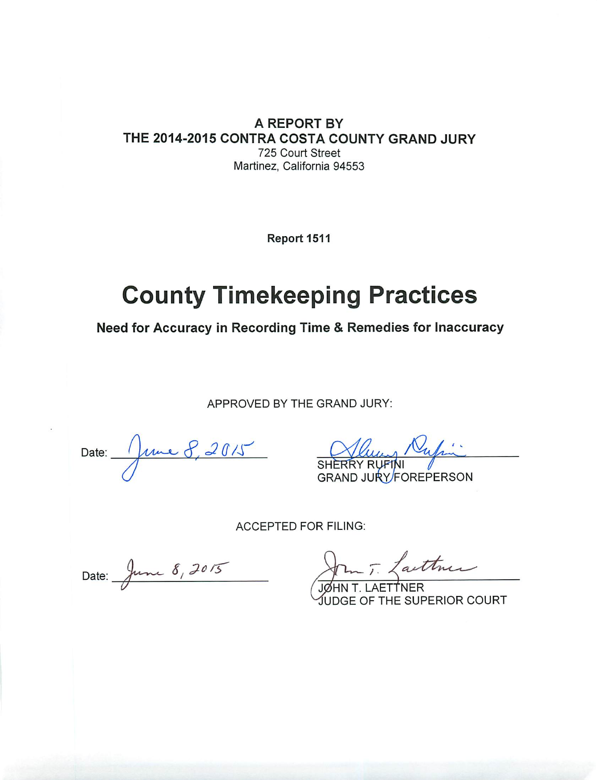A REPORT BY THE 2014-2015 CONTRA COSTA COUNTY GRAND JURY 725 Court Street Martinez, California 94553

Report 1511

# **County Timekeeping Practices**

Need for Accuracy in Recording Time & Remedies for Inaccuracy

APPROVED BY THE GRAND JURY:

Date: June 8, 2015 SHERRY RUFINI

GRAND JURY/FOREPERSON

**ACCEPTED FOR FILING:** 

Date: June 8, 2015

John T. Lattner

E OF THE SUPERIOR COURT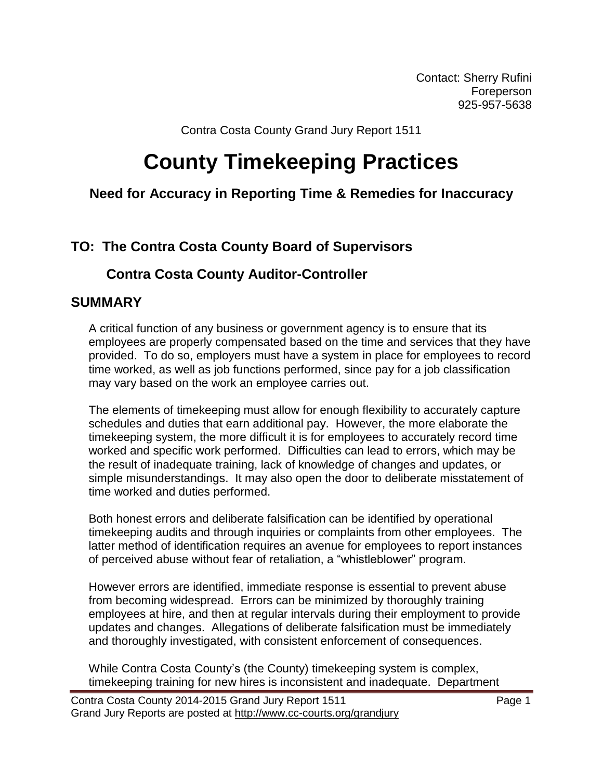Contact: Sherry Rufini Foreperson 925-957-5638

Contra Costa County Grand Jury Report 1511

# **County Timekeeping Practices**

#### **Need for Accuracy in Reporting Time & Remedies for Inaccuracy**

### **TO: The Contra Costa County Board of Supervisors**

#### **Contra Costa County Auditor-Controller**

#### **SUMMARY**

A critical function of any business or government agency is to ensure that its employees are properly compensated based on the time and services that they have provided. To do so, employers must have a system in place for employees to record time worked, as well as job functions performed, since pay for a job classification may vary based on the work an employee carries out.

The elements of timekeeping must allow for enough flexibility to accurately capture schedules and duties that earn additional pay. However, the more elaborate the timekeeping system, the more difficult it is for employees to accurately record time worked and specific work performed. Difficulties can lead to errors, which may be the result of inadequate training, lack of knowledge of changes and updates, or simple misunderstandings. It may also open the door to deliberate misstatement of time worked and duties performed.

Both honest errors and deliberate falsification can be identified by operational timekeeping audits and through inquiries or complaints from other employees. The latter method of identification requires an avenue for employees to report instances of perceived abuse without fear of retaliation, a "whistleblower" program.

However errors are identified, immediate response is essential to prevent abuse from becoming widespread. Errors can be minimized by thoroughly training employees at hire, and then at regular intervals during their employment to provide updates and changes. Allegations of deliberate falsification must be immediately and thoroughly investigated, with consistent enforcement of consequences.

While Contra Costa County's (the County) timekeeping system is complex, timekeeping training for new hires is inconsistent and inadequate. Department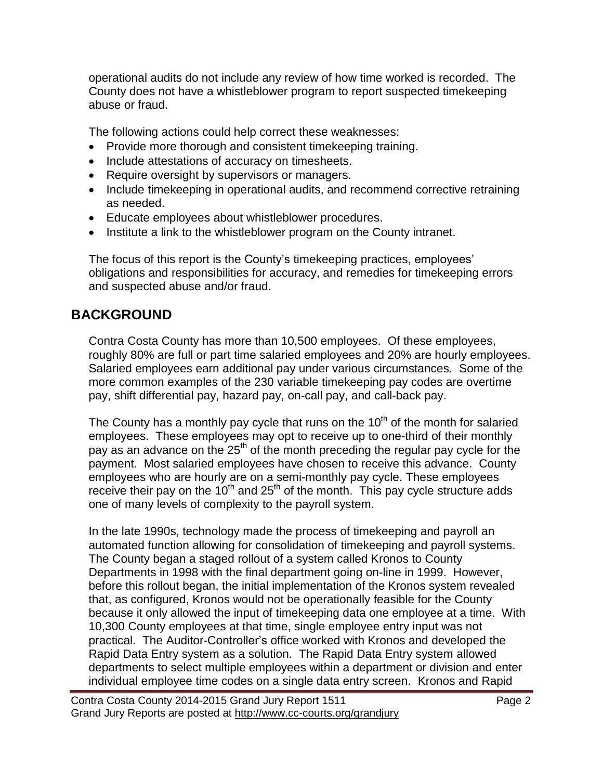operational audits do not include any review of how time worked is recorded. The County does not have a whistleblower program to report suspected timekeeping abuse or fraud.

The following actions could help correct these weaknesses:

- Provide more thorough and consistent timekeeping training.
- Include attestations of accuracy on timesheets.
- Require oversight by supervisors or managers.
- Include timekeeping in operational audits, and recommend corrective retraining as needed.
- Educate employees about whistleblower procedures.
- Institute a link to the whistleblower program on the County intranet.

The focus of this report is the County's timekeeping practices, employees' obligations and responsibilities for accuracy, and remedies for timekeeping errors and suspected abuse and/or fraud.

## **BACKGROUND**

Contra Costa County has more than 10,500 employees. Of these employees, roughly 80% are full or part time salaried employees and 20% are hourly employees. Salaried employees earn additional pay under various circumstances. Some of the more common examples of the 230 variable timekeeping pay codes are overtime pay, shift differential pay, hazard pay, on-call pay, and call-back pay.

The County has a monthly pay cycle that runs on the  $10<sup>th</sup>$  of the month for salaried employees. These employees may opt to receive up to one-third of their monthly pay as an advance on the  $25<sup>th</sup>$  of the month preceding the regular pay cycle for the payment. Most salaried employees have chosen to receive this advance. County employees who are hourly are on a semi-monthly pay cycle. These employees receive their pay on the  $10^{th}$  and  $25^{th}$  of the month. This pay cycle structure adds one of many levels of complexity to the payroll system.

In the late 1990s, technology made the process of timekeeping and payroll an automated function allowing for consolidation of timekeeping and payroll systems. The County began a staged rollout of a system called Kronos to County Departments in 1998 with the final department going on-line in 1999. However, before this rollout began, the initial implementation of the Kronos system revealed that, as configured, Kronos would not be operationally feasible for the County because it only allowed the input of timekeeping data one employee at a time. With 10,300 County employees at that time, single employee entry input was not practical. The Auditor-Controller's office worked with Kronos and developed the Rapid Data Entry system as a solution. The Rapid Data Entry system allowed departments to select multiple employees within a department or division and enter individual employee time codes on a single data entry screen. Kronos and Rapid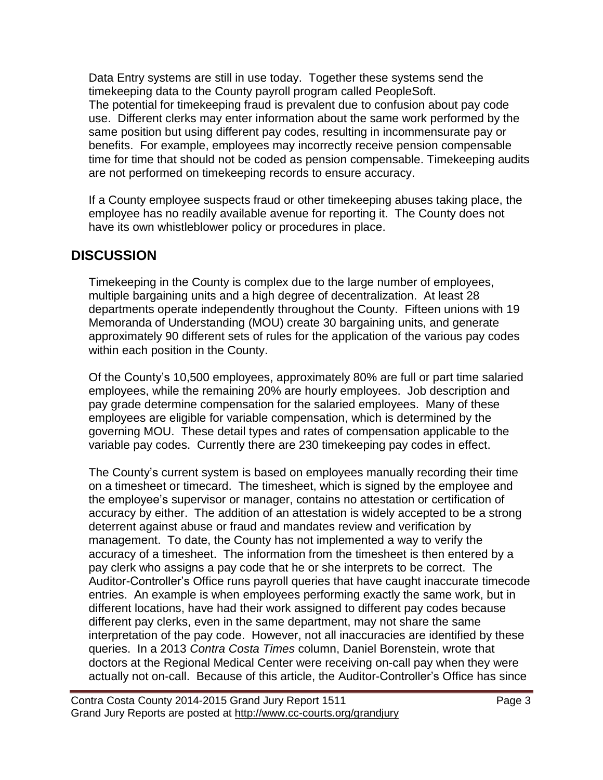Data Entry systems are still in use today. Together these systems send the timekeeping data to the County payroll program called PeopleSoft. The potential for timekeeping fraud is prevalent due to confusion about pay code use. Different clerks may enter information about the same work performed by the same position but using different pay codes, resulting in incommensurate pay or benefits. For example, employees may incorrectly receive pension compensable time for time that should not be coded as pension compensable. Timekeeping audits are not performed on timekeeping records to ensure accuracy.

If a County employee suspects fraud or other timekeeping abuses taking place, the employee has no readily available avenue for reporting it. The County does not have its own whistleblower policy or procedures in place.

### **DISCUSSION**

Timekeeping in the County is complex due to the large number of employees, multiple bargaining units and a high degree of decentralization. At least 28 departments operate independently throughout the County. Fifteen unions with 19 Memoranda of Understanding (MOU) create 30 bargaining units, and generate approximately 90 different sets of rules for the application of the various pay codes within each position in the County.

Of the County's 10,500 employees, approximately 80% are full or part time salaried employees, while the remaining 20% are hourly employees. Job description and pay grade determine compensation for the salaried employees. Many of these employees are eligible for variable compensation, which is determined by the governing MOU. These detail types and rates of compensation applicable to the variable pay codes. Currently there are 230 timekeeping pay codes in effect.

The County's current system is based on employees manually recording their time on a timesheet or timecard. The timesheet, which is signed by the employee and the employee's supervisor or manager, contains no attestation or certification of accuracy by either. The addition of an attestation is widely accepted to be a strong deterrent against abuse or fraud and mandates review and verification by management. To date, the County has not implemented a way to verify the accuracy of a timesheet. The information from the timesheet is then entered by a pay clerk who assigns a pay code that he or she interprets to be correct. The Auditor-Controller's Office runs payroll queries that have caught inaccurate timecode entries. An example is when employees performing exactly the same work, but in different locations, have had their work assigned to different pay codes because different pay clerks, even in the same department, may not share the same interpretation of the pay code. However, not all inaccuracies are identified by these queries. In a 2013 *Contra Costa Times* column, Daniel Borenstein, wrote that doctors at the Regional Medical Center were receiving on-call pay when they were actually not on-call. Because of this article, the Auditor-Controller's Office has since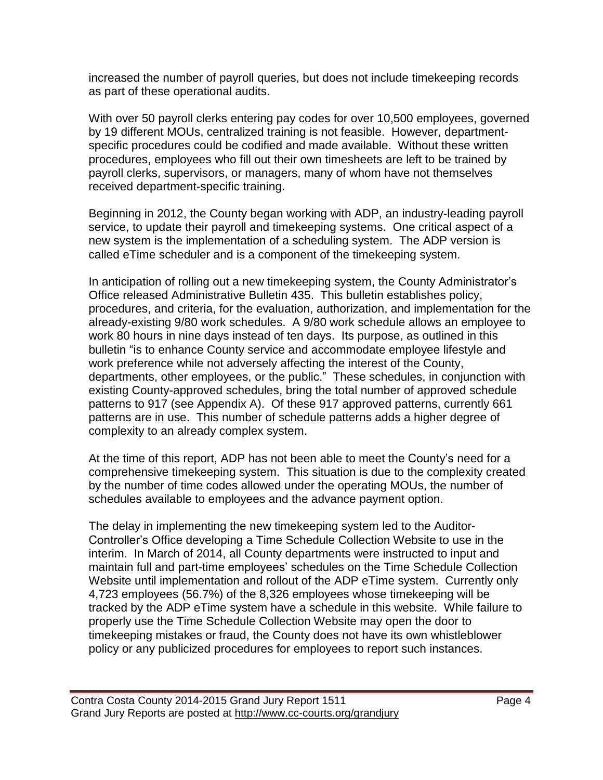increased the number of payroll queries, but does not include timekeeping records as part of these operational audits.

With over 50 payroll clerks entering pay codes for over 10,500 employees, governed by 19 different MOUs, centralized training is not feasible. However, departmentspecific procedures could be codified and made available. Without these written procedures, employees who fill out their own timesheets are left to be trained by payroll clerks, supervisors, or managers, many of whom have not themselves received department-specific training.

Beginning in 2012, the County began working with ADP, an industry-leading payroll service, to update their payroll and timekeeping systems. One critical aspect of a new system is the implementation of a scheduling system. The ADP version is called eTime scheduler and is a component of the timekeeping system.

In anticipation of rolling out a new timekeeping system, the County Administrator's Office released Administrative Bulletin 435. This bulletin establishes policy, procedures, and criteria, for the evaluation, authorization, and implementation for the already-existing 9/80 work schedules. A 9/80 work schedule allows an employee to work 80 hours in nine days instead of ten days. Its purpose, as outlined in this bulletin "is to enhance County service and accommodate employee lifestyle and work preference while not adversely affecting the interest of the County, departments, other employees, or the public." These schedules, in conjunction with existing County-approved schedules, bring the total number of approved schedule patterns to 917 (see Appendix A). Of these 917 approved patterns, currently 661 patterns are in use. This number of schedule patterns adds a higher degree of complexity to an already complex system.

At the time of this report, ADP has not been able to meet the County's need for a comprehensive timekeeping system. This situation is due to the complexity created by the number of time codes allowed under the operating MOUs, the number of schedules available to employees and the advance payment option.

The delay in implementing the new timekeeping system led to the Auditor-Controller's Office developing a Time Schedule Collection Website to use in the interim. In March of 2014, all County departments were instructed to input and maintain full and part-time employees' schedules on the Time Schedule Collection Website until implementation and rollout of the ADP eTime system. Currently only 4,723 employees (56.7%) of the 8,326 employees whose timekeeping will be tracked by the ADP eTime system have a schedule in this website. While failure to properly use the Time Schedule Collection Website may open the door to timekeeping mistakes or fraud, the County does not have its own whistleblower policy or any publicized procedures for employees to report such instances.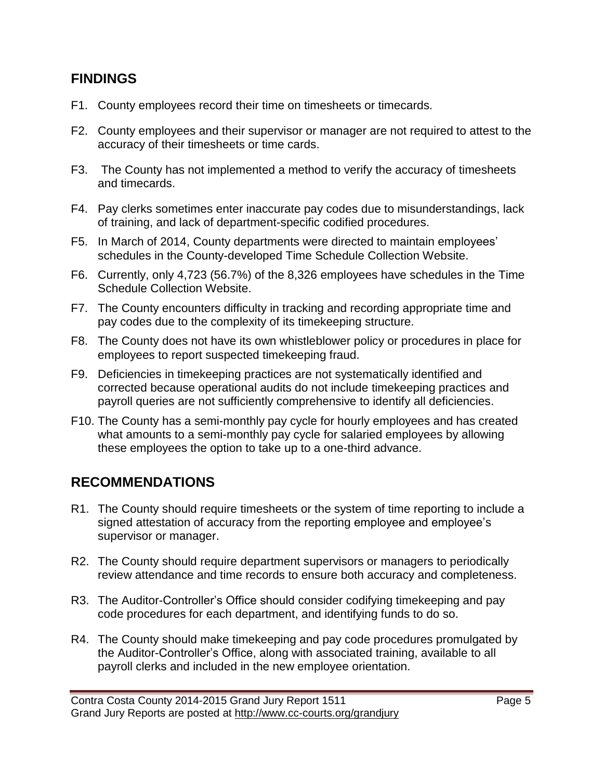#### **FINDINGS**

- F1. County employees record their time on timesheets or timecards.
- F2. County employees and their supervisor or manager are not required to attest to the accuracy of their timesheets or time cards.
- F3. The County has not implemented a method to verify the accuracy of timesheets and timecards.
- F4. Pay clerks sometimes enter inaccurate pay codes due to misunderstandings, lack of training, and lack of department-specific codified procedures.
- F5. In March of 2014, County departments were directed to maintain employees' schedules in the County-developed Time Schedule Collection Website.
- F6. Currently, only 4,723 (56.7%) of the 8,326 employees have schedules in the Time Schedule Collection Website.
- F7. The County encounters difficulty in tracking and recording appropriate time and pay codes due to the complexity of its timekeeping structure.
- F8. The County does not have its own whistleblower policy or procedures in place for employees to report suspected timekeeping fraud.
- F9. Deficiencies in timekeeping practices are not systematically identified and corrected because operational audits do not include timekeeping practices and payroll queries are not sufficiently comprehensive to identify all deficiencies.
- F10. The County has a semi-monthly pay cycle for hourly employees and has created what amounts to a semi-monthly pay cycle for salaried employees by allowing these employees the option to take up to a one-third advance.

## **RECOMMENDATIONS**

- R1. The County should require timesheets or the system of time reporting to include a signed attestation of accuracy from the reporting employee and employee's supervisor or manager.
- R2. The County should require department supervisors or managers to periodically review attendance and time records to ensure both accuracy and completeness.
- R3. The Auditor-Controller's Office should consider codifying timekeeping and pay code procedures for each department, and identifying funds to do so.
- R4. The County should make timekeeping and pay code procedures promulgated by the Auditor-Controller's Office, along with associated training, available to all payroll clerks and included in the new employee orientation.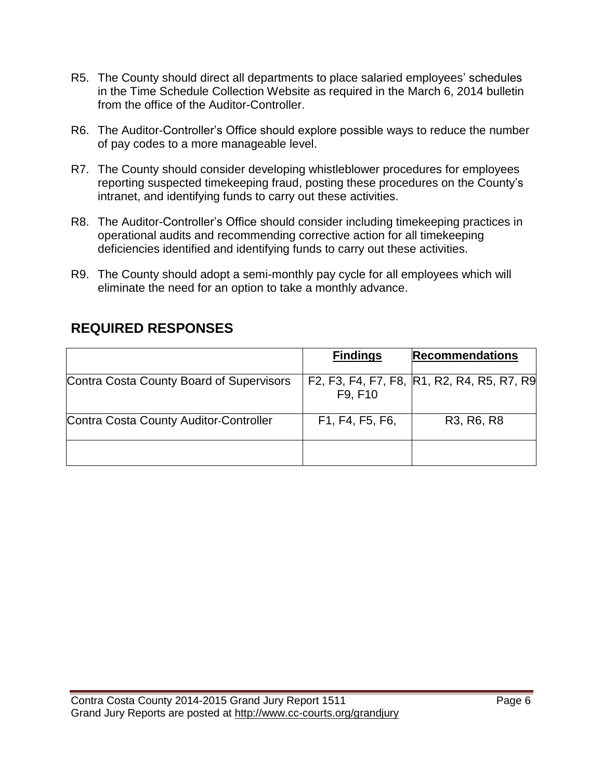- R5. The County should direct all departments to place salaried employees' schedules in the Time Schedule Collection Website as required in the March 6, 2014 bulletin from the office of the Auditor-Controller.
- R6. The Auditor-Controller's Office should explore possible ways to reduce the number of pay codes to a more manageable level.
- R7. The County should consider developing whistleblower procedures for employees reporting suspected timekeeping fraud, posting these procedures on the County's intranet, and identifying funds to carry out these activities.
- R8. The Auditor-Controller's Office should consider including timekeeping practices in operational audits and recommending corrective action for all timekeeping deficiencies identified and identifying funds to carry out these activities.
- R9. The County should adopt a semi-monthly pay cycle for all employees which will eliminate the need for an option to take a monthly advance.

## **REQUIRED RESPONSES**

|                                          | <b>Findings</b> | <b>Recommendations</b>                           |
|------------------------------------------|-----------------|--------------------------------------------------|
| Contra Costa County Board of Supervisors | F9. F10         | F2, F3, F4, F7, F8, R1, R2, R4, R5, R7, R9       |
| Contra Costa County Auditor-Controller   | F1, F4, F5, F6, | R <sub>3</sub> , R <sub>6</sub> , R <sub>8</sub> |
|                                          |                 |                                                  |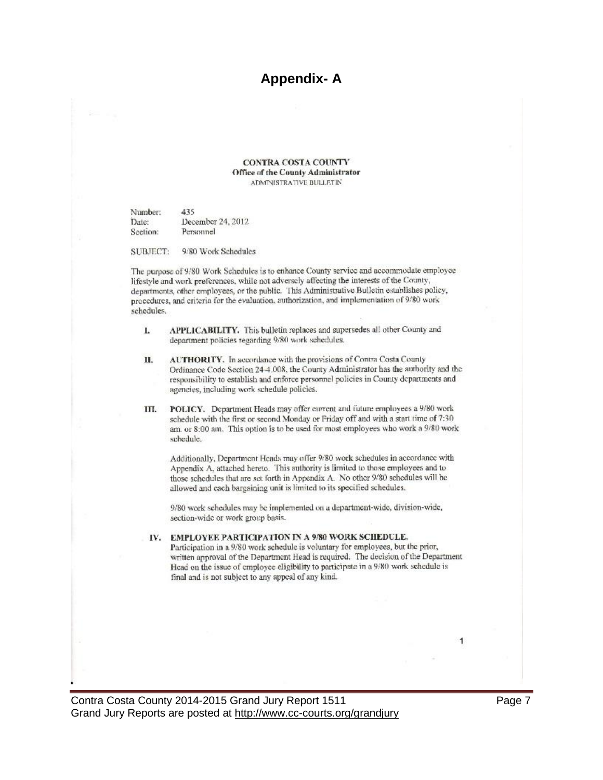#### **Appendix-A**

**CONTRA COSTA COUNTY** Office of the County Administrator ADMINISTRATIVE BULLETIN

Number: 435 December 24, 2012 Date: Section: Personnel

9/80 Work Schedules **SUBJECT:** 

The purpose of 9/80 Work Schedules is to enhance County service and accommodate employee lifestyle and work preferences, while not adversely affecting the interests of the County, departments, other employees, or the public. This Administrative Bulletin establishes policy, procedures, and criteria for the evaluation, authorization, and implementation of 9/80 work schedules.

- APPLICABILITY. This bulletin replaces and supersedes all other County and L. department policies regarding 9/80 work schedules.
- AUTHORITY. In accordance with the provisions of Contra Costa County П. Ordinance Code Section 24-4.008, the County Administrator has the authority and the responsibility to establish and enforce personnel policies in County departments and agencies, including work schedule policies.
- POLICY. Department Heads may offer current and future employees a 9/80 work III. schedule with the first or second Monday or Friday off and with a start time of 7:30 am. or 8:00 am. This option is to be used for most employees who work a 9/80 work schedule.

Additionally, Department Heads may offer 9/80 work schedules in accordance with Appendix A, attached hereto. This authority is limited to those employees and to those schedules that are set forth in Appendix A. No other 9/80 schedules will be allowed and cach bargaining unit is limited to its specified schedules.

9/80 work schedules may be implemented on a department-wide, division-wide, section-wide or work group basis.

#### IV. EMPLOYEE PARTICIPATION IN A 9/80 WORK SCHEDULE.

Participation in a 9/80 work schedule is voluntary for employees, but the prior, written approval of the Department Head is required. The decision of the Department Head on the issue of employee eligibility to participate in a 9/80 work schedule is final and is not subject to any appeal of any kind.

Contra Costa County 2014-2015 Grand Jury Report 1511 Grand Jury Reports are posted at http://www.cc-courts.org/grandjury Page 7

1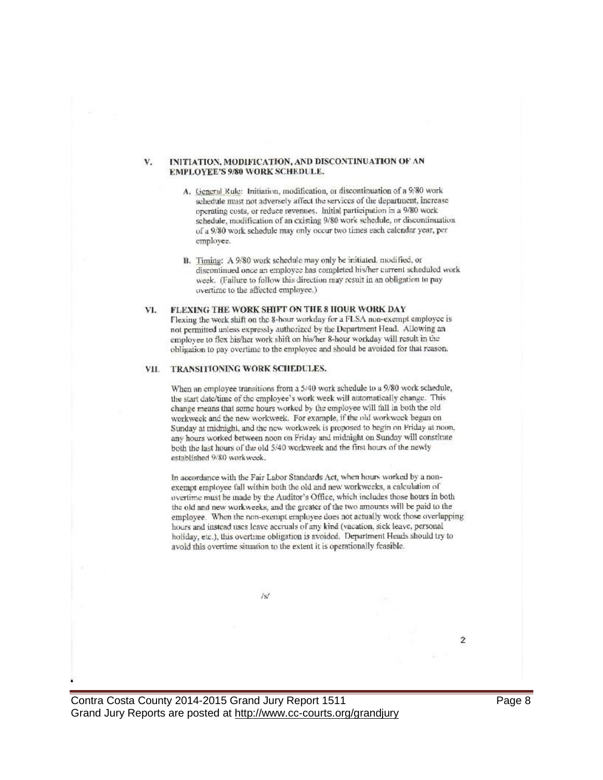#### INITIATION, MODIFICATION, AND DISCONTINUATION OF AN V. EMPLOYEE'S 9/80 WORK SCHEDULE.

- A. General Rule: Initiation, modification, or discontinuation of a 9/80 work schedule must not adversely affect the services of the department, increase operating costs, or reduce revenues. Initial participation in a 9/80 work schedule, modification of an existing 9/80 work schedule, or discontinuation of a 9/80 work schedule may only occur two times each calendar year, per employee.
- B. Timing: A 9/80 work schedule may only be initiated, modified, or discontinued once an employee has completed his/her current scheduled work week. (Failure to follow this direction may result in an obligation to pay overtime to the affected employee.)

#### VI. FLEXING THE WORK SHIFT ON THE 8 HOUR WORK DAY

Flexing the work shift on the 8-hour workday for a FLSA non-exempt employee is not permitted unless expressly authorized by the Department Head. Allowing an employee to flex bis/her work shift on his/her 8-hour workday will result in the obligation to pay overtime to the employee and should be avoided for that reason.

#### VII. TRANSITIONING WORK SCHEDULES.

When an employee transitions from a 5/40 work schedule to a 9/80 work schedule, the start date/time of the employee's work week will automatically change. This change means that some hours worked by the employee will fall in both the old workweek and the new workweek. For example, if the old workweek began on Sunday at midnight, and the new workweek is proposed to begin on Friday at noon, any hours worked between noon on Friday and midnight on Sunday will constitute both the last hours of the old 5/40 workweek and the first hours of the newly established 9/80 workweek.

In accordance with the Fair Labor Standards Act, when hours worked by a nonexempt employee fall within both the old and new workweeks, a calculation of overtime must be made by the Auditor's Office, which includes those hours in both the old and new workweeks, and the greater of the two amounts will be paid to the employee. When the non-exempt employee does not actually work those overlapping hours and instead uses leave accruals of any kind (vacation, sick leave, personal holiday, etc.), this overtime obligation is avoided. Department Heads should try to avoid this overtime situation to the extent it is operationally feasible.

 $/sl$ 

Contra Costa County 2014-2015 Grand Jury Report 1511 Grand Jury Reports are posted at http://www.cc-courts.org/grandjury Page 8

 $\mathbf{2}$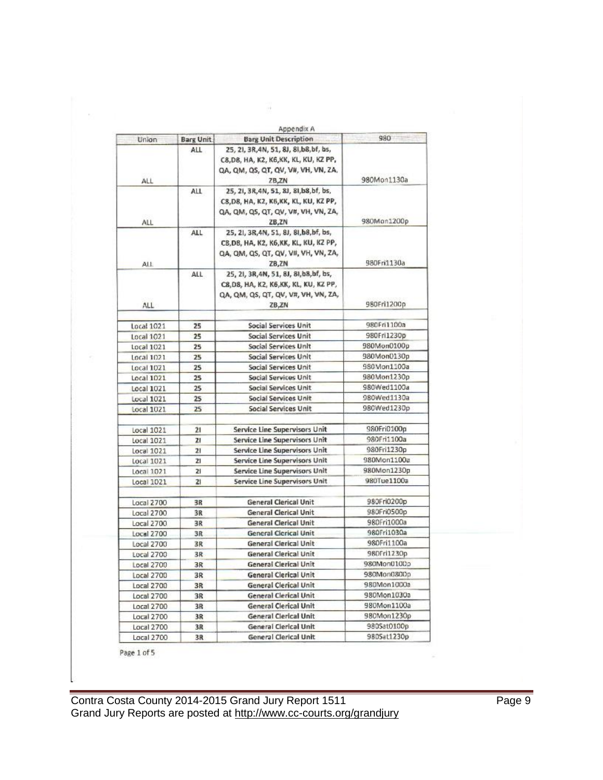|                   |                                | Appendix A<br><b>Barg Unit Description</b>                                        | 980         |
|-------------------|--------------------------------|-----------------------------------------------------------------------------------|-------------|
| Union             | <b>Barg Unit</b><br><b>ALL</b> | 25, 21, 3R, 4N, 51, 8J, 8I, b8, bf, bs,<br>C8, D8, HA, K2, K6, KK, KL, KU, KZ PP, |             |
| ALL               |                                | QA, QM, QS, QT, QV, V#, VH, VN, ZA,<br>ZB,ZN                                      | 980Mon1130a |
|                   | ALL                            | 25, 21, 3R, 4N, 51, 8J, 8I, b8, bf, bs,                                           |             |
|                   |                                | C8, D8, HA, K2, K6, KK, KL, KU, KZ PP,                                            |             |
| ALL               |                                | QA, QM, QS, QT, QV, V#, VH, VN, ZA,<br>ZB,ZN                                      | 980Mon1200p |
|                   | <b>ALL</b>                     | 25, 21, 3R, 4N, 51, 8J, 8J, b8, bf, bs,                                           |             |
|                   |                                | C8, D8, HA, K2, K6, KK, KL, KU, KZ PP,                                            |             |
|                   |                                | QA, QM, QS, QT, QV, V#, VH, VN, ZA,                                               |             |
| All               |                                | ZB,ZN                                                                             | 980Fri1130a |
|                   | ALL                            | 25, 21, 3R, 4N, 51, 8J, 8I, b8, bf, bs,                                           |             |
|                   |                                | C8,D8, HA, K2, K6,KK, KL, KU, KZ PP,                                              |             |
| <b>ALL</b>        |                                | QA, QM, QS, QT, QV, V#, VH, VN, ZA,<br>ZB,ZN                                      | 980Fri1200p |
|                   |                                |                                                                                   |             |
| Local 1021        | 25                             | Social Services Unit                                                              | 980Fri1100a |
| Local 1021        | 25                             | <b>Social Services Unit</b>                                                       | 980Fri1230p |
| Local 1021        | 25                             | <b>Social Services Unit</b>                                                       | 980Mon0100p |
| Local 1021        | 25                             | Social Services Unit                                                              | 980Mon0130p |
| Local 1021        | 25                             | <b>Social Services Unit</b>                                                       | 980Mon1100a |
| Local 1021        | 25                             | <b>Social Services Unit</b>                                                       | 980Mon1230p |
| Local 1021        | 25                             | Social Services Unit                                                              | 980Wed1100a |
| Local 1021        | 25                             | Social Services Unit                                                              | 980Wed1130a |
| Local 1021        | 25                             | Social Services Unit                                                              | 980Wed1230p |
| Local 1021        | 21                             | Service Line Supervisors Unit                                                     | 980Fri0100p |
| Local 1021        | 21                             | Service Line Supervisors Unit                                                     | 980Fri1100a |
| Local 1021        | 21                             | Service Line Supervisors Unit                                                     | 980Fri1230p |
| Local 1021        | 21                             | Service Line Supervisors Unit                                                     | 980Mon1100a |
| Local 1021        | 21                             | Service Line Supervisors Unit                                                     | 980Mon1230p |
| Local 1021        | 21                             | Service Line Supervisors Unit                                                     | 980Tue1100a |
| Local 2700        | 3R                             | <b>General Clerical Unit</b>                                                      | 980Fri0200p |
| Local 2700        | 3R                             | <b>General Clerical Unit</b>                                                      | 980Fri0500p |
| Local 2700        | 3R                             | <b>General Clerical Unit</b>                                                      | 980Fri1000a |
| Local 2700        | 3R                             | <b>General Clerical Unit</b>                                                      | 980Fri1030a |
| Local 2700        | 3R                             | <b>General Clerical Unit</b>                                                      | 980Fri1100a |
| Local 2700        | 3R                             | <b>General Clerical Unit</b>                                                      | 980Fri1230p |
| <b>Local 2700</b> | 3R                             | <b>General Clerical Unit</b>                                                      | 980Mon0100p |
| Local 2700        | 3R.                            | <b>General Clerical Unit</b>                                                      | 980Mon0800p |
| Local 2700        | 3R.                            | <b>General Clerical Unit</b>                                                      | 980Mon1000a |
| Local 2700        | 3R                             | General Clerical Unit                                                             | 980Mon1030a |
| Local 2700        | 3R                             | <b>General Clerical Unit</b>                                                      | 980Mon1100a |
| Local 2700        | 3R                             | General Clerical Unit                                                             | 980Mon1230p |
| Local 2700        | 3R                             | General Clerical Unit                                                             | 980Sat0100p |
| Local 2700        | 3R                             | General Clerical Unit                                                             | 9805at1230p |

W.

Page 1 of 5

 $\sim$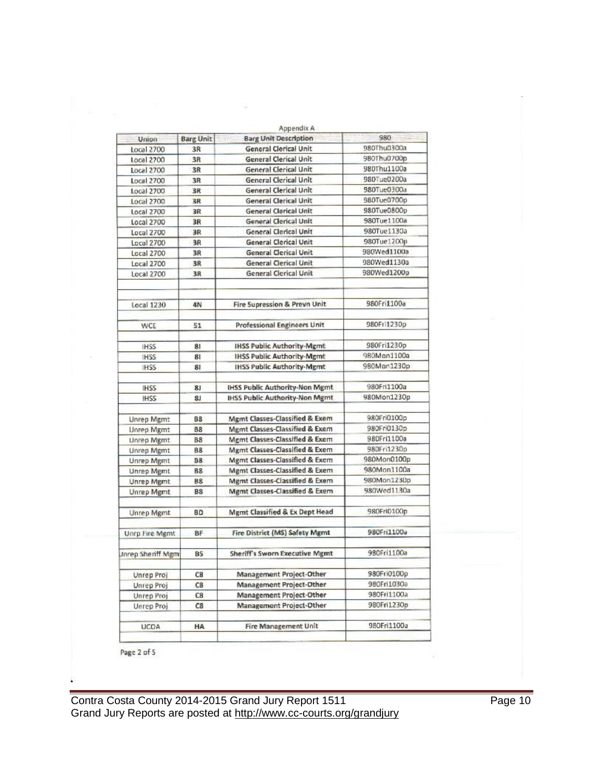|                          |                  | Appendix A                                |             |
|--------------------------|------------------|-------------------------------------------|-------------|
| Union                    | <b>Barg Unit</b> | <b>Barg Unit Description</b>              | 980         |
| Local 2700               | 3R               | <b>General Clerical Unit</b>              | 980Thu0300a |
| Local 2700               | 3R               | <b>General Clerical Unit</b>              | 980Thu0700p |
| Local 2700               | 3R               | <b>General Clerical Unit</b>              | 980Thu1100a |
| Local 2700               | 3R               | <b>General Clerical Unit</b>              | 980Tue0200a |
| Local 2700               | 3R               | <b>General Clerical Unit</b>              | 980Tue0300a |
| Local 2700               | 3R               | <b>General Clerical Unit</b>              | 980Tue0700p |
| Local 2700               | 3R               | <b>General Clerical Unit</b>              | 980Tue0800p |
| <b>Local 2700</b>        | 3R               | <b>General Clerical Unit</b>              | 980Tue1100a |
| Local 2700               | 3R               | <b>General Clerical Unit</b>              | 980Tue1130a |
| Local 2700               | 3R               | <b>General Clerical Unit</b>              | 980Tue1200p |
| Local 2700               | 3R               | <b>General Clerical Unit</b>              | 980Wed1100a |
| Local 2700               | 3R               | <b>General Clerical Unit</b>              | 980Wed1130a |
| Local 2700               | 3R               | <b>General Clerical Unit</b>              | 980Wed1200p |
| <b>Local 1230</b>        | 4N               | Fire Supression & Prevn Unit              | 980Fri1100a |
| WCE                      | 51               | <b>Professional Engineers Unit</b>        | 980Fri1230p |
| <b>IHSS</b>              | 81               | <b>IHSS Public Authority-Mgmt</b>         | 980Fri1230p |
| <b>IHSS</b>              | 81               | <b>IHSS Public Authority-Mgmt</b>         | 980Mon1100a |
| <b>HSS</b>               | 81               | <b>IHSS Public Authority-Mgmt</b>         | 980Mon1230p |
| <b>IHSS</b>              | 81               | <b>IHSS Public Authority-Non Mgmt</b>     | 980Fri1100a |
| IHSS                     | 81               | <b>IHSS Public Authority-Non Mgmt</b>     | 980Mon1230p |
| <b>Unrep Mgmt</b>        | <b>B8</b>        | Mgmt Classes-Classified & Exem            | 980Fri0100p |
| <b>Unrep Mgmt</b>        | <b>B8</b>        | Mgmt Classes-Classified & Exem            | 980Fri0130p |
| Unrep Mgmt               | <b>B8</b>        | Mgmt Classes-Classified & Exem            | 980Fri1100a |
| Unrep Mgmt               | <b>B8</b>        | Mgmt Classes-Classified & Exem            | 980Fri1230p |
| <b>Unrep Mgmt</b>        | <b>B8</b>        | Mgmt Classes-Classified & Exem            | 980Mon0100p |
| <b>Unrep Mgmt</b>        | <b>B8</b>        | Mgmt Classes-Classified & Exem            | 980Mon1100a |
| <b>Unrep Mgmt</b>        | <b>B8</b>        | Mgmt Classes-Classified & Exem            | 980Mon1230o |
| Unrep Mgmt               | <b>B8</b>        | Mgmt Classes-Classified & Exem            | 980Wed1130a |
| Unrep Mgmt               | <b>BD</b>        | <b>Mgmt Classified &amp; Ex Dept Head</b> | 980Fri0100p |
| <b>Unrp Fire Mgmt</b>    | BF               | Fire District (MS) Safety Mgmt            | 980Fri1100a |
| <b>Jnrep Sheriff Mgm</b> | <b>BS</b>        | Sheriff's Sworn Executive Mgmt            | 980Fri1100a |
| Unrep Proj               | CB               | Management Project-Other                  | 980Fri0100p |
| Unrep Proj               | C8               | Management Project-Other                  | 980Fri1030a |
| <b>Unrep Proj</b>        | C8               | Management Project-Other                  | 980Fri1100a |
| <b>Unrep Proj</b>        | C8               | Management Project-Other                  | 980Fri1230p |
| <b>UCDA</b>              | HA               | <b>Fire Management Unit</b>               | 980Fri1100a |

Page 2 of 5

Contra Costa County 2014-2015 Grand Jury Report 1511 **Frankling Contra Costa County 2014-2015** Grand Jury Report Grand Jury Reports are posted at http://www.cc-courts.org/grandjury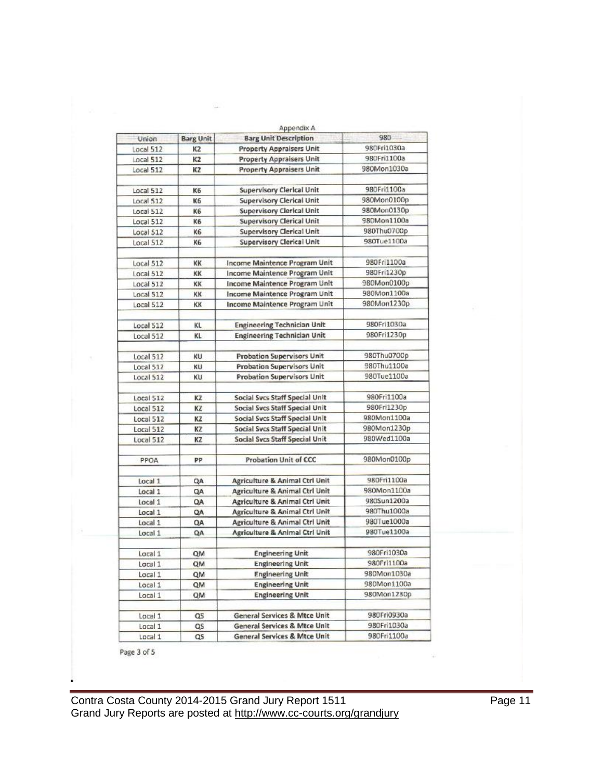|                    |                  | Appendix A                                                                  | 980         |
|--------------------|------------------|-----------------------------------------------------------------------------|-------------|
| Union              | <b>Barg Unit</b> | <b>Barg Unit Description</b>                                                |             |
| Local 512          | K2               | <b>Property Appraisers Unit</b>                                             | 980Fri1030a |
| Local 512          | K2               | <b>Property Appraisers Unit</b>                                             | 980Fri1100a |
| Local 512          | K2               | <b>Property Appraisers Unit</b>                                             | 980Mon1030a |
| Local 512          | K6               | Supervisory Clerical Unit                                                   | 980Fri1100a |
| Local 512          | K6               | <b>Supervisory Clerical Unit</b>                                            | 980Mon0100p |
| Local 512          | K6               | <b>Supervisory Clerical Unit</b>                                            | 980Mon0130p |
| Local 512          | K6               | <b>Supervisory Clerical Unit</b>                                            | 980Mon1100a |
| Local 512          | K6               | <b>Supervisory Clerical Unit</b>                                            | 980Thu0700p |
| Local 512          | K6               | Supervisory Clerical Unit                                                   | 980Tue1100a |
| Local 512          | KK               | Income Maintence Program Unit                                               | 980Fri1100a |
| Local 512          | KK               | Income Maintence Program Unit                                               | 980Fri1230p |
| Local 512          | KK               | Income Maintence Program Unit                                               | 980Mon0100p |
| Local 512          | KK               | Income Maintence Program Unit                                               | 980Mon1100a |
| Local 512          | КΚ               | Income Maintence Program Unit                                               | 980Mon1230p |
| Local 512          | KL               | <b>Engineering Technician Unit</b>                                          | 980Fri1030a |
| Local 512          | KL               | <b>Engineering Technician Unit</b>                                          | 980Fri1230p |
|                    |                  |                                                                             |             |
| Local 512          | KU               | <b>Probation Supervisors Unit</b>                                           | 980Thu0700p |
| Local 512          | KU               | <b>Probation Supervisors Unit</b>                                           | 980Thu1100a |
| Local 512          | KU               | <b>Probation Supervisors Unit</b>                                           | 980Tue1100a |
| Local 512          | KZ               | Social Svcs Staff Special Unit                                              | 980Fri1100a |
| Local 512          | KZ               | Social Svcs Staff Special Unit                                              | 980Fri1230p |
| Local 512          | ΚZ               | Social Svcs Staff Special Unit                                              | 980Mon1100a |
| Local 512          | KZ               | Social Svcs Staff Special Unit                                              | 980Mon1230p |
| Local 512          | ΚZ               | Social Svcs Staff Special Unit                                              | 980Wed1100a |
| PPOA               | PP               | <b>Probation Unit of CCC</b>                                                | 980Mon0100p |
|                    |                  |                                                                             | 980Fri1100a |
| Local 1            | QA               | <b>Agriculture &amp; Animal Ctrl Unit</b>                                   | 980Mon1100a |
| Local 1            | QA               | <b>Agriculture &amp; Animal Ctrl Unit</b>                                   | 980Sun1200a |
| Local 1            | QA               | <b>Agriculture &amp; Animal Ctrl Unit</b><br>Agriculture & Animal Ctrl Unit | 980Thu1000a |
| Local 1            | QA               | <b>Agriculture &amp; Animal Ctrl Unit</b>                                   | 980Tue1000a |
| Local 1<br>Local 1 | QA<br>QA         | <b>Agriculture &amp; Animal Ctrl Unit</b>                                   | 980Tue1100a |
|                    |                  |                                                                             |             |
| Local 1            | QM               | <b>Engineering Unit</b>                                                     | 980Fri1030a |
| Local 1            | QM               | <b>Engineering Unit</b>                                                     | 980Fr11100a |
| Local 1            | QM               | <b>Engineering Unit</b>                                                     | 980Mon1030a |
| Local 1            | QΜ               | <b>Engineering Unit</b>                                                     | 980Mon1100a |
| Local 1            | QM               | <b>Engineering Unit</b>                                                     | 980Mon1230p |
| Local 1            | Q5               | General Services & Mtce Unit                                                | 980Fri0930a |
| Local 1            | QS               | General Services & Mtce Unit                                                | 980Fri1030a |
| Local 1            | QS               | <b>General Services &amp; Mtce Unit</b>                                     | 980Fri1100a |

Page 3 of 5

Contra Costa County 2014-2015 Grand Jury Report 1511 **Frankling Contra Costa County 2014-2015** Grand Jury Report 1 Grand Jury Reports are posted at http://www.cc-courts.org/grandjury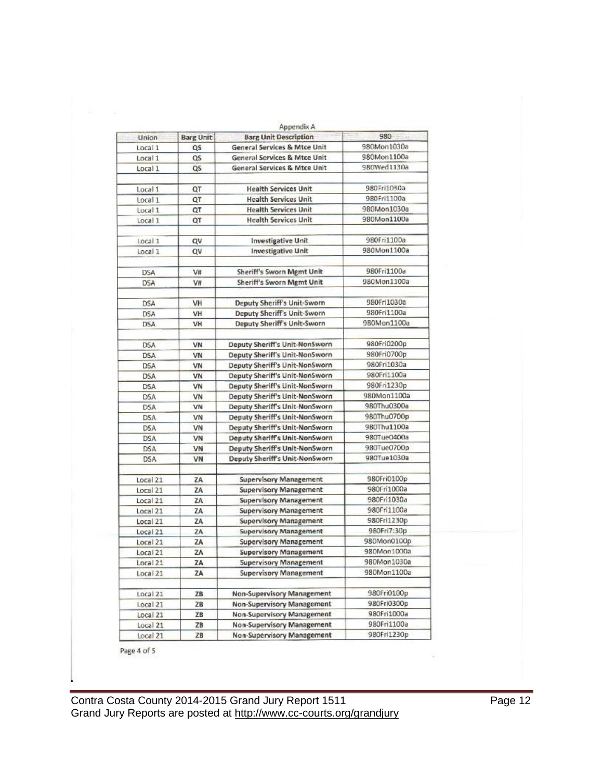| Union             | <b>Barg Unit</b> | Appendix A<br><b>Barg Unit Description</b> | 980         |
|-------------------|------------------|--------------------------------------------|-------------|
| Local 1           | QS               | General Services & Mtce Unit               | 980Mon1030a |
| Local 1           | QS               | <b>General Services &amp; Mtce Unit</b>    | 980Mon1100a |
| Local 1           | QS               | General Services & Mtce Unit               | 980Wed1130a |
|                   |                  |                                            |             |
| Local 1           | QT               | <b>Health Services Unit</b>                | 980Fri1030a |
| Local 1           | QT               | <b>Health Services Unit</b>                | 980Fri1100a |
| Local 1           | QT               | <b>Health Services Unit</b>                | 980Mon1030a |
| Local 1           | QT               | <b>Health Services Unit</b>                | 980Mon1100a |
| local 1           | Q٧               | <b>Investigative Unit</b>                  | 980Fri1100a |
| Local 1           | Q٧               | <b>Investigative Unit</b>                  | 980Mon1100a |
|                   |                  |                                            |             |
| <b>DSA</b>        | V#               | Sheriff's Sworn Mgmt Unit                  | 980Fri1100a |
| <b>DSA</b>        | V#               | Sheriff's Sworn Mgmt Unit                  | 980Mon1100a |
|                   |                  |                                            |             |
| <b>DSA</b>        | VH               | Deputy Sheriff's Unit-Sworn                | 980Fri1030a |
| D <sub>5</sub> A  | VH               | Deputy Sheriff's Unit-Sworn                | 980Fri1100a |
| <b>DSA</b>        | VH               | Deputy Sheriff's Unit-Sworn                | 980Mon1100a |
| <b>DSA</b>        | VN               | Deputy Sheriff's Unit-NonSworn             | 980Fri0200p |
| <b>DSA</b>        | VN               | Deputy Sheriff's Unit-NonSworn             | 980Fri0700p |
| <b>DSA</b>        | VN               | Deputy Sheriff's Unit-NonSworn             | 980Fri1030a |
| <b>DSA</b>        | VN               | Deputy Sheriff's Unit-NonSworn             | 980Fri1100a |
| <b>DSA</b>        | VN               | Deputy Sheriff's Unit-NonSworn             | 980Fri1230p |
| <b>DSA</b>        | VN               | Deputy Sheriff's Unit-NonSworn             | 980Mon1100a |
| D <sub>5</sub> A  | VN               | Deputy Sheriff's Unit-NonSworn             | 980Thu0300a |
| <b>DSA</b>        | VN               | Deputy Sheriff's Unit-NonSworn             | 980Thu0700p |
| <b>DSA</b>        | VN               | Deputy Sheriff's Unit-NonSworn             | 980Thu1100a |
| <b>DSA</b>        | VN               | Deputy Sheriff's Unit-NonSworn             | 980Tue0400a |
|                   | VN               | Deputy Sheriff's Unit-NonSworn             | 980Tue0700p |
| DSA<br><b>DSA</b> | VN               | Deputy Sheriff's Unit-NonSworn             | 980Tue1030a |
|                   |                  |                                            |             |
| Local 21          | ZA               | <b>Supervisory Management</b>              | 980Fri0100p |
| Local 21          | ZA               | <b>Supervisory Management</b>              | 980Fri1000a |
| Local 21          | ZA               | <b>Supervisory Management</b>              | 980Fri1030a |
| Local 21          | ZA               | <b>Supervisory Management</b>              | 980Fri1100a |
| Local 21          | ZA               | <b>Supervisory Management</b>              | 980Fri1230p |
| Local 21          | 2A               | <b>Supervisory Management</b>              | 980Fri7:30p |
| Local 21          | ZA               | <b>Supervisory Management</b>              | 980Mon0100p |
| Local 21          | ZA               | <b>Supervisory Management</b>              | 980Mon1000a |
| Local 21          | ZA               | <b>Supervisory Management</b>              | 980Mon1030a |
| Local 21          | ZA               | <b>Supervisory Management</b>              | 980Mon1100a |
|                   |                  |                                            |             |
| Local 21          | ZB               | <b>Non-Supervisory Management</b>          | 980Fri0100p |
| Local 21          | ZВ               | Non-Supervisory Management                 | 980Fri0300p |
| Local 21          | ΖB               | <b>Non-Supervisory Management</b>          | 980Fri1000a |
| Local 21          | ZB               | Non-Supervisory Management                 | 980Fri1100a |
| Local21           | ZB               | Non-Supervisory Management                 | 980Fri1230p |

Page 4 of 5

Contra Costa County 2014-2015 Grand Jury Report 1511 **Frankling Contra Costa County 2014-2015** Grand Jury Report Grand Jury Reports are posted at http://www.cc-courts.org/grandjury